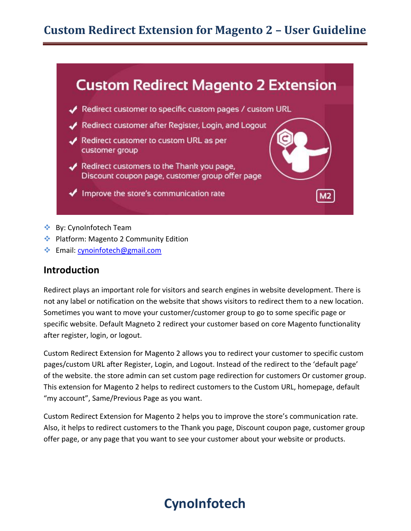### **Custom Redirect Extension for Magento 2 – User Guideline**



- ❖ By: CynoInfotech Team
- ❖ Platform: Magento 2 Community Edition
- ❖ Email[: cynoinfotech@gmail.com](mailto:cynoinfotech@gmail.com)

#### **Introduction**

Redirect plays an important role for visitors and search engines in website development. There is not any label or notification on the website that shows visitors to redirect them to a new location. Sometimes you want to move your customer/customer group to go to some specific page or specific website. Default Magneto 2 redirect your customer based on core Magento functionality after register, login, or logout.

Custom Redirect Extension for Magento 2 allows you to redirect your customer to specific custom pages/custom URL after Register, Login, and Logout. Instead of the redirect to the 'default page' of the website. the store admin can set custom page redirection for customers Or customer group. This extension for Magento 2 helps to redirect customers to the Custom URL, homepage, default "my account", Same/Previous Page as you want.

Custom Redirect Extension for Magento 2 helps you to improve the store's communication rate. Also, it helps to redirect customers to the Thank you page, Discount coupon page, customer group offer page, or any page that you want to see your customer about your website or products.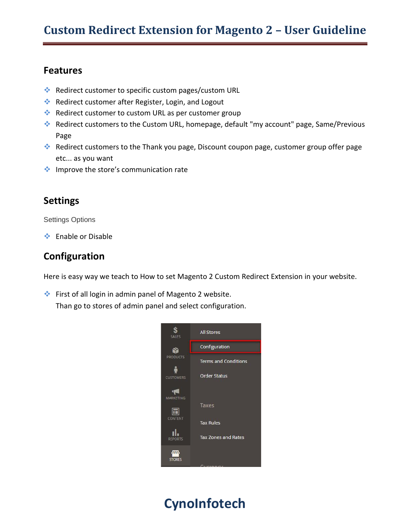#### **Features**

- ❖ Redirect customer to specific custom pages/custom URL
- ❖ Redirect customer after Register, Login, and Logout
- ❖ Redirect customer to custom URL as per customer group
- ❖ Redirect customers to the Custom URL, homepage, default "my account" page, Same/Previous Page
- ❖ Redirect customers to the Thank you page, Discount coupon page, customer group offer page etc... as you want
- ❖ Improve the store's communication rate

### **Settings**

Settings Options

❖ Enable or Disable

### **Configuration**

Here is easy way we teach to How to set Magento 2 Custom Redirect Extension in your website.

❖ First of all login in admin panel of Magento 2 website.

Than go to stores of admin panel and select configuration.

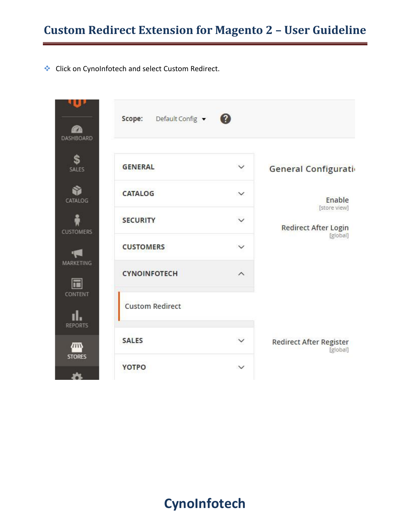### **Custom Redirect Extension for Magento 2 – User Guideline**

❖ Click on CynoInfotech and select Custom Redirect.

|                           | Default Config v<br>Scope: | $\boldsymbol{c}$        |                                            |
|---------------------------|----------------------------|-------------------------|--------------------------------------------|
| DASHBOARD                 |                            |                         |                                            |
| \$<br><b>SALES</b>        | <b>GENERAL</b>             | $\checkmark$            | General Configurati                        |
| CATALOG                   | <b>CATALOG</b>             | $\checkmark$            | Enable<br>[store view]                     |
| <b>CUSTOMERS</b>          | <b>SECURITY</b>            | $\checkmark$            | Redirect After Login<br>[global]           |
| 中国                        | <b>CUSTOMERS</b>           | $\checkmark$            |                                            |
| MARKETING<br>同            | <b>CYNOINFOTECH</b>        | $\widehat{\phantom{0}}$ |                                            |
| CONTENT<br><b>REPORTS</b> | <b>Custom Redirect</b>     |                         |                                            |
| <b>STORES</b>             | <b>SALES</b>               | $\checkmark$            | <b>Redirect After Register</b><br>[global] |
|                           | <b>YOTPO</b>               | $\checkmark$            |                                            |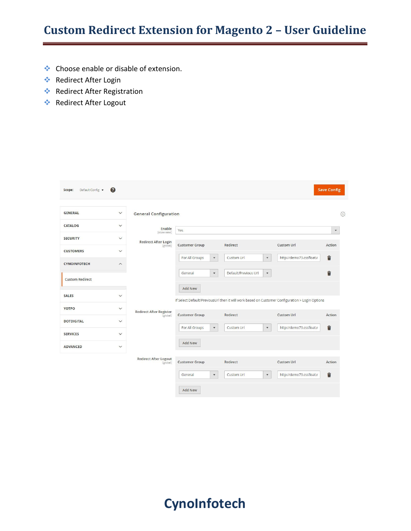### **Custom Redirect Extension for Magento 2 – User Guideline**

- ❖ Choose enable or disable of extension.
- ❖ Redirect After Login
- ❖ Redirect After Registration
- ❖ Redirect After Logout

| Default Config v<br>Scope: | $\bullet$               |                                                         |                                        |                                                                                                 |                          | <b>Save Config</b>        |
|----------------------------|-------------------------|---------------------------------------------------------|----------------------------------------|-------------------------------------------------------------------------------------------------|--------------------------|---------------------------|
|                            |                         |                                                         |                                        |                                                                                                 |                          |                           |
| <b>GENERAL</b>             | $\check{~}$             | <b>General Configuration</b>                            |                                        |                                                                                                 |                          | $\odot$                   |
| <b>CATALOG</b>             | $\check{~}$             | Enable                                                  | Yes                                    |                                                                                                 |                          | $\boldsymbol{\mathrm{v}}$ |
| <b>SECURITY</b>            | $\check{~}$             | [store view]<br><b>Redirect After Login</b><br>[global] |                                        |                                                                                                 |                          |                           |
| <b>CUSTOMERS</b>           | $\checkmark$            |                                                         | <b>Customer Group</b>                  | Redirect                                                                                        | <b>Custom Url</b>        | Action                    |
| <b>CYNOINFOTECH</b>        | $\widehat{\phantom{a}}$ |                                                         | For All Groups<br>$\blacktriangledown$ | Custom Url<br>$\blacktriangledown$                                                              | http://demo73.cssfloat.r | û                         |
| <b>Custom Redirect</b>     |                         |                                                         | $\blacktriangledown$<br>General        | Default/Previous Url<br>$\blacktriangledown$                                                    |                          | û                         |
| <b>SALES</b>               | $\check{~}$             |                                                         | <b>Add New</b>                         | If Select Default/PreviousUrl then it will work based on Customer Configuration > Login Options |                          |                           |
| <b>YOTPO</b>               | $\checkmark$            | <b>Redirect After Register</b>                          |                                        | Redirect                                                                                        | <b>Custom Url</b>        | Action                    |
| <b>DOTDIGITAL</b>          | $\checkmark$            | [global]                                                | <b>Customer Group</b>                  |                                                                                                 |                          |                           |
| <b>SERVICES</b>            | $\check{~}$             |                                                         | For All Groups<br>$\blacktriangledown$ | Custom Url<br>$\pmb{\mathrm{v}}$                                                                | http://demo73.cssfloat.r | t                         |
| <b>ADVANCED</b>            | $\check{~}$             |                                                         | Add New                                |                                                                                                 |                          |                           |
|                            |                         | <b>Redirect After Logout</b><br>[global]                | <b>Customer Group</b>                  | Redirect                                                                                        | <b>Custom Url</b>        | Action                    |
|                            |                         |                                                         | $\pmb{\mathrm{v}}$<br>General          | Custom Url<br>$\pmb{\mathrm{v}}$                                                                | http://demo73.cssfloat.r | û                         |
|                            |                         |                                                         | <b>Add New</b>                         |                                                                                                 |                          |                           |